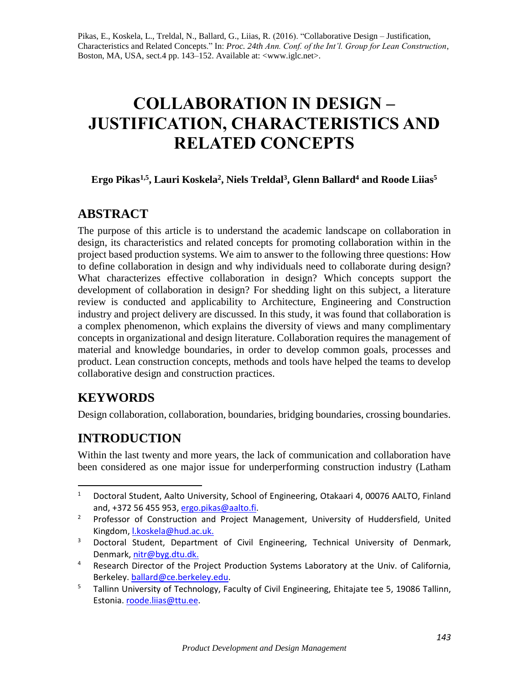Pikas, E., Koskela, L., Treldal, N., Ballard, G., Liias, R. (2016). "Collaborative Design – Justification, Characteristics and Related Concepts." In: *Proc. 24th Ann. Conf. of the Int'l. Group for Lean Construction*, Boston, MA, USA, sect.4 pp. 143–152. Available at: <www.iglc.net>.

# **COLLABORATION IN DESIGN – JUSTIFICATION, CHARACTERISTICS AND RELATED CONCEPTS**

## **Ergo Pikas1,5, Lauri Koskela<sup>2</sup> , Niels Treldal<sup>3</sup> , Glenn Ballard<sup>4</sup> and Roode Liias<sup>5</sup>**

## **ABSTRACT**

The purpose of this article is to understand the academic landscape on collaboration in design, its characteristics and related concepts for promoting collaboration within in the project based production systems. We aim to answer to the following three questions: How to define collaboration in design and why individuals need to collaborate during design? What characterizes effective collaboration in design? Which concepts support the development of collaboration in design? For shedding light on this subject, a literature review is conducted and applicability to Architecture, Engineering and Construction industry and project delivery are discussed. In this study, it was found that collaboration is a complex phenomenon, which explains the diversity of views and many complimentary concepts in organizational and design literature. Collaboration requires the management of material and knowledge boundaries, in order to develop common goals, processes and product. Lean construction concepts, methods and tools have helped the teams to develop collaborative design and construction practices.

## **KEYWORDS**

 $\overline{a}$ 

Design collaboration, collaboration, boundaries, bridging boundaries, crossing boundaries.

## **INTRODUCTION**

Within the last twenty and more years, the lack of communication and collaboration have been considered as one major issue for underperforming construction industry [\(Latham](#page-8-0) 

<sup>&</sup>lt;sup>1</sup> Doctoral Student, Aalto University, School of Engineering, Otakaari 4, 00076 AALTO, Finland and, +372 56 455 953[, ergo.pikas@aalto.fi.](mailto:ergo.pikas@aalto.fi)

<sup>&</sup>lt;sup>2</sup> Professor of Construction and Project Management, University of Huddersfield, United Kingdom, [l.koskela@hud.ac.uk.](mailto:l.koskela@hud.ac.uk)

<sup>&</sup>lt;sup>3</sup> Doctoral Student, Department of Civil Engineering, Technical University of Denmark, Denmark, [nitr@byg.dtu.dk.](mailto:%20nitr@byg.dtu.dk)

<sup>&</sup>lt;sup>4</sup> Research Director of the Project Production Systems Laboratory at the Univ. of California, Berkeley. [ballard@ce.berkeley.edu.](mailto:ballard@ce.berkeley.edu)

<sup>&</sup>lt;sup>5</sup> Tallinn University of Technology, Faculty of Civil Engineering, Ehitajate tee 5, 19086 Tallinn, Estonia. [roode.liias@ttu.ee.](mailto:roode.liias@ttu.ee)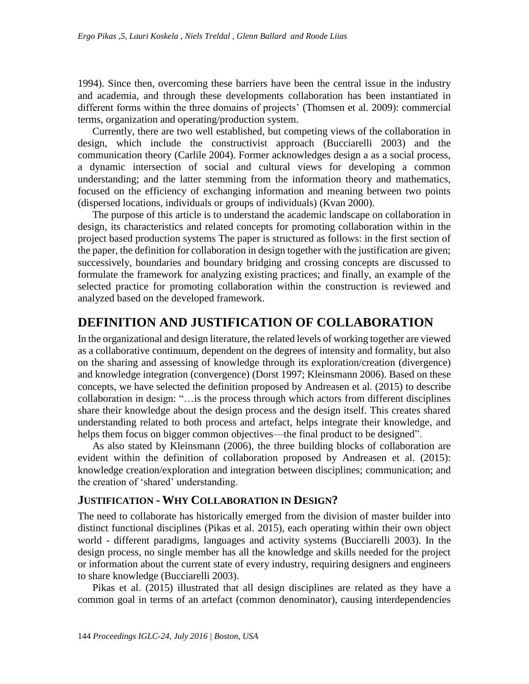[1994\)](#page-8-0). Since then, overcoming these barriers have been the central issue in the industry and academia, and through these developments collaboration has been instantiated in different forms within the three domains of projects' [\(Thomsen et al. 2009\)](#page-9-0): commercial terms, organization and operating/production system.

Currently, there are two well established, but competing views of the collaboration in design, which include the constructivist approach [\(Bucciarelli 2003\)](#page-8-1) and the communication theory [\(Carlile 2004\)](#page-8-2). Former acknowledges design a as a social process, a dynamic intersection of social and cultural views for developing a common understanding; and the latter stemming from the information theory and mathematics, focused on the efficiency of exchanging information and meaning between two points (dispersed locations, individuals or groups of individuals) [\(Kvan 2000\)](#page-8-3).

The purpose of this article is to understand the academic landscape on collaboration in design, its characteristics and related concepts for promoting collaboration within in the project based production systems The paper is structured as follows: in the first section of the paper, the definition for collaboration in design together with the justification are given; successively, boundaries and boundary bridging and crossing concepts are discussed to formulate the framework for analyzing existing practices; and finally, an example of the selected practice for promoting collaboration within the construction is reviewed and analyzed based on the developed framework.

## **DEFINITION AND JUSTIFICATION OF COLLABORATION**

In the organizational and design literature, the related levels of working together are viewed as a collaborative continuum, dependent on the degrees of intensity and formality, but also on the sharing and assessing of knowledge through its exploration/creation (divergence) and knowledge integration (convergence) [\(Dorst 1997;](#page-8-4) [Kleinsmann 2006\)](#page-8-5). Based on these concepts, we have selected the definition proposed by [Andreasen et al. \(2015\)](#page-8-6) to describe collaboration in design: "…is the process through which actors from different disciplines share their knowledge about the design process and the design itself. This creates shared understanding related to both process and artefact, helps integrate their knowledge, and helps them focus on bigger common objectives—the final product to be designed".

As also stated by [Kleinsmann \(2006\),](#page-8-5) the three building blocks of collaboration are evident within the definition of collaboration proposed by [Andreasen et al. \(2015\):](#page-8-6) knowledge creation/exploration and integration between disciplines; communication; and the creation of 'shared' understanding.

### **JUSTIFICATION - WHY COLLABORATION IN DESIGN?**

The need to collaborate has historically emerged from the division of master builder into distinct functional disciplines [\(Pikas et al. 2015\)](#page-9-1), each operating within their own object world - different paradigms, languages and activity systems [\(Bucciarelli 2003\)](#page-8-1). In the design process, no single member has all the knowledge and skills needed for the project or information about the current state of every industry, requiring designers and engineers to share knowledge [\(Bucciarelli 2003\)](#page-8-1).

[Pikas et al. \(2015\)](#page-9-1) illustrated that all design disciplines are related as they have a common goal in terms of an artefact (common denominator), causing interdependencies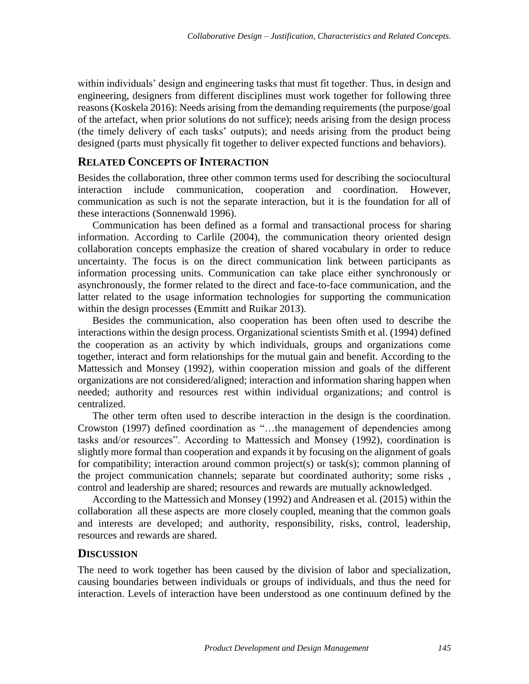within individuals' design and engineering tasks that must fit together. Thus, in design and engineering, designers from different disciplines must work together for following three reasons [\(Koskela 2016\)](#page-8-7): Needs arising from the demanding requirements (the purpose/goal of the artefact, when prior solutions do not suffice); needs arising from the design process (the timely delivery of each tasks' outputs); and needs arising from the product being designed (parts must physically fit together to deliver expected functions and behaviors).

### **RELATED CONCEPTS OF INTERACTION**

Besides the collaboration, three other common terms used for describing the sociocultural interaction include communication, cooperation and coordination. However, communication as such is not the separate interaction, but it is the foundation for all of these interactions [\(Sonnenwald 1996\)](#page-9-2).

Communication has been defined as a formal and transactional process for sharing information. According to [Carlile \(2004\),](#page-8-2) the communication theory oriented design collaboration concepts emphasize the creation of shared vocabulary in order to reduce uncertainty. The focus is on the direct communication link between participants as information processing units. Communication can take place either synchronously or asynchronously, the former related to the direct and face-to-face communication, and the latter related to the usage information technologies for supporting the communication within the design processes [\(Emmitt and Ruikar 2013\)](#page-8-8).

Besides the communication, also cooperation has been often used to describe the interactions within the design process. Organizational scientists [Smith et al. \(1994\)](#page-9-3) defined the cooperation as an activity by which individuals, groups and organizations come together, interact and form relationships for the mutual gain and benefit. According to the [Mattessich and Monsey \(1992\),](#page-9-4) within cooperation mission and goals of the different organizations are not considered/aligned; interaction and information sharing happen when needed; authority and resources rest within individual organizations; and control is centralized.

The other term often used to describe interaction in the design is the coordination. [Crowston \(1997\)](#page-8-9) defined coordination as "…the management of dependencies among tasks and/or resources". According to [Mattessich and Monsey \(1992\),](#page-9-4) coordination is slightly more formal than cooperation and expands it by focusing on the alignment of goals for compatibility; interaction around common project(s) or task(s); common planning of the project communication channels; separate but coordinated authority; some risks , control and leadership are shared; resources and rewards are mutually acknowledged.

According to the [Mattessich and Monsey \(1992\)](#page-9-4) and [Andreasen et al. \(2015\)](#page-8-6) within the collaboration all these aspects are more closely coupled, meaning that the common goals and interests are developed; and authority, responsibility, risks, control, leadership, resources and rewards are shared.

#### **DISCUSSION**

The need to work together has been caused by the division of labor and specialization, causing boundaries between individuals or groups of individuals, and thus the need for interaction. Levels of interaction have been understood as one continuum defined by the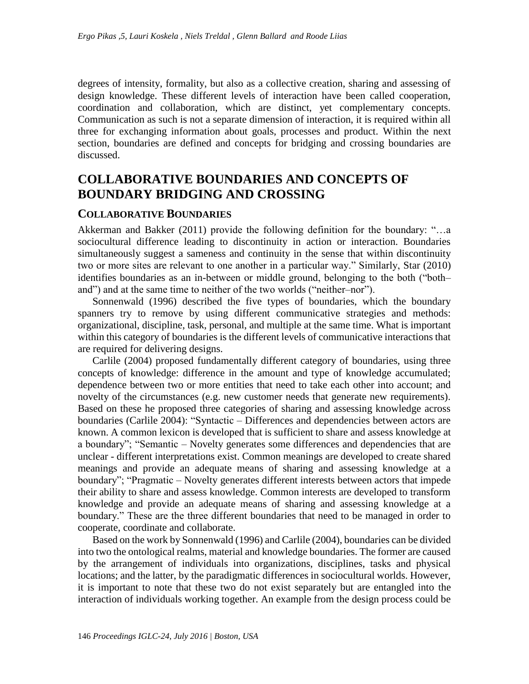degrees of intensity, formality, but also as a collective creation, sharing and assessing of design knowledge. These different levels of interaction have been called cooperation, coordination and collaboration, which are distinct, yet complementary concepts. Communication as such is not a separate dimension of interaction, it is required within all three for exchanging information about goals, processes and product. Within the next section, boundaries are defined and concepts for bridging and crossing boundaries are discussed.

## **COLLABORATIVE BOUNDARIES AND CONCEPTS OF BOUNDARY BRIDGING AND CROSSING**

#### **COLLABORATIVE BOUNDARIES**

[Akkerman and Bakker \(2011\)](#page-7-0) provide the following definition for the boundary: "…a sociocultural difference leading to discontinuity in action or interaction. Boundaries simultaneously suggest a sameness and continuity in the sense that within discontinuity two or more sites are relevant to one another in a particular way." Similarly, [Star \(2010\)](#page-9-5) identifies boundaries as an in-between or middle ground, belonging to the both ("both– and") and at the same time to neither of the two worlds ("neither–nor").

[Sonnenwald \(1996\)](#page-9-2) described the five types of boundaries, which the boundary spanners try to remove by using different communicative strategies and methods: organizational, discipline, task, personal, and multiple at the same time. What is important within this category of boundaries is the different levels of communicative interactions that are required for delivering designs.

[Carlile \(2004\)](#page-8-2) proposed fundamentally different category of boundaries, using three concepts of knowledge: difference in the amount and type of knowledge accumulated; dependence between two or more entities that need to take each other into account; and novelty of the circumstances (e.g. new customer needs that generate new requirements). Based on these he proposed three categories of sharing and assessing knowledge across boundaries [\(Carlile 2004\)](#page-8-2): "Syntactic – Differences and dependencies between actors are known. A common lexicon is developed that is sufficient to share and assess knowledge at a boundary"; "Semantic – Novelty generates some differences and dependencies that are unclear - different interpretations exist. Common meanings are developed to create shared meanings and provide an adequate means of sharing and assessing knowledge at a boundary"; "Pragmatic – Novelty generates different interests between actors that impede their ability to share and assess knowledge. Common interests are developed to transform knowledge and provide an adequate means of sharing and assessing knowledge at a boundary." These are the three different boundaries that need to be managed in order to cooperate, coordinate and collaborate.

Based on the work by [Sonnenwald \(1996\)](#page-9-2) an[d Carlile \(2004\),](#page-8-2) boundaries can be divided into two the ontological realms, material and knowledge boundaries. The former are caused by the arrangement of individuals into organizations, disciplines, tasks and physical locations; and the latter, by the paradigmatic differences in sociocultural worlds. However, it is important to note that these two do not exist separately but are entangled into the interaction of individuals working together. An example from the design process could be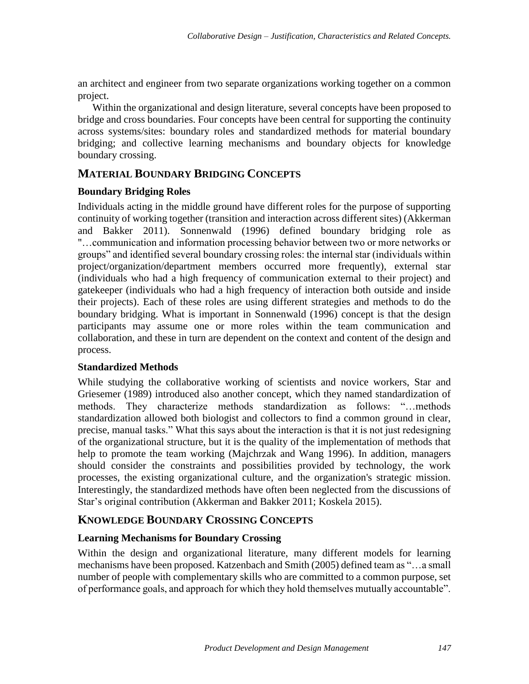an architect and engineer from two separate organizations working together on a common project.

Within the organizational and design literature, several concepts have been proposed to bridge and cross boundaries. Four concepts have been central for supporting the continuity across systems/sites: boundary roles and standardized methods for material boundary bridging; and collective learning mechanisms and boundary objects for knowledge boundary crossing.

## **MATERIAL BOUNDARY BRIDGING CONCEPTS**

#### **Boundary Bridging Roles**

Individuals acting in the middle ground have different roles for the purpose of supporting continuity of working together (transition and interaction across different sites) [\(Akkerman](#page-7-0)  [and Bakker 2011\)](#page-7-0). [Sonnenwald \(1996\)](#page-9-2) defined boundary bridging role as "…communication and information processing behavior between two or more networks or groups" and identified several boundary crossing roles: the internal star (individuals within project/organization/department members occurred more frequently), external star (individuals who had a high frequency of communication external to their project) and gatekeeper (individuals who had a high frequency of interaction both outside and inside their projects). Each of these roles are using different strategies and methods to do the boundary bridging. What is important in [Sonnenwald \(1996\)](#page-9-2) concept is that the design participants may assume one or more roles within the team communication and collaboration, and these in turn are dependent on the context and content of the design and process.

### **Standardized Methods**

While studying the collaborative working of scientists and novice workers, [Star and](#page-9-6)  Griesemer (1989) introduced also another concept, which they named standardization of methods. They characterize methods standardization as follows: "…methods standardization allowed both biologist and collectors to find a common ground in clear, precise, manual tasks." What this says about the interaction is that it is not just redesigning of the organizational structure, but it is the quality of the implementation of methods that help to promote the team working [\(Majchrzak and Wang 1996\)](#page-8-10). In addition, managers should consider the constraints and possibilities provided by technology, the work processes, the existing organizational culture, and the organization's strategic mission. Interestingly, the standardized methods have often been neglected from the discussions of Star's original contribution [\(Akkerman and Bakker 2011;](#page-7-0) [Koskela 2015\)](#page-8-11).

## **KNOWLEDGE BOUNDARY CROSSING CONCEPTS**

### **Learning Mechanisms for Boundary Crossing**

Within the design and organizational literature, many different models for learning mechanisms have been proposed. [Katzenbach and Smith \(2005\)](#page-8-12) defined team as "…a small number of people with complementary skills who are committed to a common purpose, set of performance goals, and approach for which they hold themselves mutually accountable".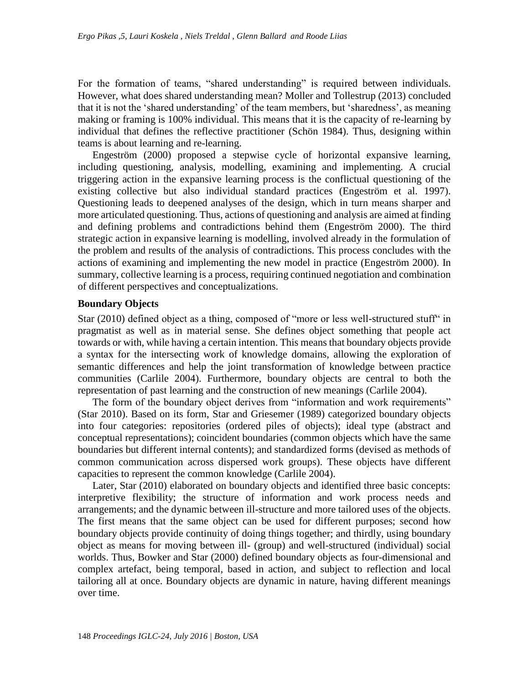For the formation of teams, "shared understanding" is required between individuals. However, what does shared understanding mean? [Moller and Tollestrup \(2013\)](#page-9-7) concluded that it is not the 'shared understanding' of the team members, but 'sharedness', as meaning making or framing is 100% individual. This means that it is the capacity of re-learning by individual that defines the reflective practitioner [\(Schön 1984\)](#page-9-8). Thus, designing within teams is about learning and re-learning.

[Engeström \(2000\)](#page-8-13) proposed a stepwise cycle of horizontal expansive learning, including questioning, analysis, modelling, examining and implementing. A crucial triggering action in the expansive learning process is the conflictual questioning of the existing collective but also individual standard practices [\(Engeström et al. 1997\)](#page-8-14). Questioning leads to deepened analyses of the design, which in turn means sharper and more articulated questioning. Thus, actions of questioning and analysis are aimed at finding and defining problems and contradictions behind them [\(Engeström 2000\)](#page-8-13). The third strategic action in expansive learning is modelling, involved already in the formulation of the problem and results of the analysis of contradictions. This process concludes with the actions of examining and implementing the new model in practice [\(Engeström 2000\)](#page-8-13). In summary, collective learning is a process, requiring continued negotiation and combination of different perspectives and conceptualizations.

#### **Boundary Objects**

[Star \(2010\)](#page-9-5) defined object as a thing, composed of "more or less well-structured stuff" in pragmatist as well as in material sense. She defines object something that people act towards or with, while having a certain intention. This means that boundary objects provide a syntax for the intersecting work of knowledge domains, allowing the exploration of semantic differences and help the joint transformation of knowledge between practice communities [\(Carlile 2004\)](#page-8-2). Furthermore, boundary objects are central to both the representation of past learning and the construction of new meanings [\(Carlile 2004\)](#page-8-2).

The form of the boundary object derives from "information and work requirements" [\(Star 2010\)](#page-9-5). Based on its form, [Star and Griesemer \(1989\)](#page-9-6) categorized boundary objects into four categories: repositories (ordered piles of objects); ideal type (abstract and conceptual representations); coincident boundaries (common objects which have the same boundaries but different internal contents); and standardized forms (devised as methods of common communication across dispersed work groups). These objects have different capacities to represent the common knowledge [\(Carlile 2004\)](#page-8-2).

Later, [Star \(2010\)](#page-9-5) elaborated on boundary objects and identified three basic concepts: interpretive flexibility; the structure of information and work process needs and arrangements; and the dynamic between ill-structure and more tailored uses of the objects. The first means that the same object can be used for different purposes; second how boundary objects provide continuity of doing things together; and thirdly, using boundary object as means for moving between ill- (group) and well-structured (individual) social worlds. Thus, [Bowker and Star \(2000\)](#page-8-15) defined boundary objects as four-dimensional and complex artefact, being temporal, based in action, and subject to reflection and local tailoring all at once. Boundary objects are dynamic in nature, having different meanings over time.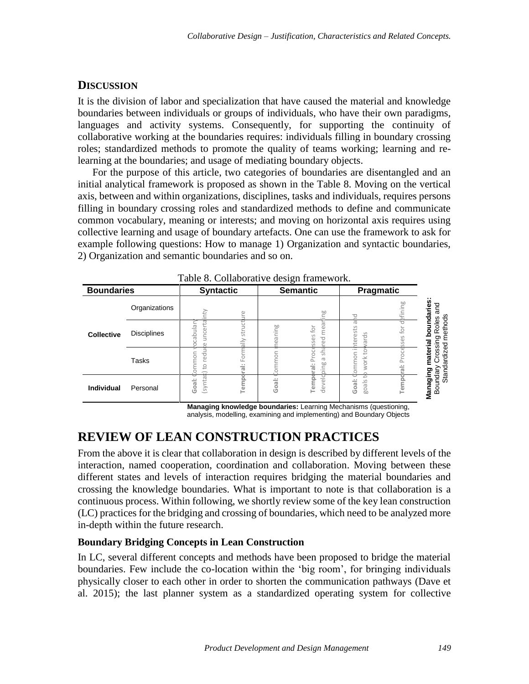### **DISCUSSION**

It is the division of labor and specialization that have caused the material and knowledge boundaries between individuals or groups of individuals, who have their own paradigms, languages and activity systems. Consequently, for supporting the continuity of collaborative working at the boundaries requires: individuals filling in boundary crossing roles; standardized methods to promote the quality of teams working; learning and relearning at the boundaries; and usage of mediating boundary objects.

For the purpose of this article, two categories of boundaries are disentangled and an initial analytical framework is proposed as shown in the [Table 8.](#page-6-0) Moving on the vertical axis, between and within organizations, disciplines, tasks and individuals, requires persons filling in boundary crossing roles and standardized methods to define and communicate common vocabulary, meaning or interests; and moving on horizontal axis requires using collective learning and usage of boundary artefacts. One can use the framework to ask for example following questions: How to manage 1) Organization and syntactic boundaries, 2) Organization and semantic boundaries and so on.

<span id="page-6-0"></span>

| <b>Boundaries</b> |                                                                                                                                                                                                                                                                                                                                                                                                                                                                        | <b>Syntactic</b>                           |                              | <b>Semantic</b> |                                            | Pragmatic                       |                                  |                                                                                 |
|-------------------|------------------------------------------------------------------------------------------------------------------------------------------------------------------------------------------------------------------------------------------------------------------------------------------------------------------------------------------------------------------------------------------------------------------------------------------------------------------------|--------------------------------------------|------------------------------|-----------------|--------------------------------------------|---------------------------------|----------------------------------|---------------------------------------------------------------------------------|
|                   | Organizations                                                                                                                                                                                                                                                                                                                                                                                                                                                          |                                            |                              |                 | ing                                        | p                               |                                  | and                                                                             |
| <b>Collective</b> | <b>Disciplines</b>                                                                                                                                                                                                                                                                                                                                                                                                                                                     | ocabular                                   |                              | neaning         | red mear<br>sses for                       | $\overline{\sigma}$<br>hterests |                                  |                                                                                 |
|                   | <b>Tasks</b>                                                                                                                                                                                                                                                                                                                                                                                                                                                           | syntax) to reduce uncertainty<br>v nommor. | Temporal: Formally structure | nommor          | sha<br>Temporal: Proce<br>$\sigma$<br>ping | work towards<br>i nommori       | Temporal: Processes for defining | Managing material boundaries<br>Boundary Crossing Roles<br>Standardized methods |
| <b>Individual</b> | Personal                                                                                                                                                                                                                                                                                                                                                                                                                                                               | Goal:                                      |                              | Goal:           | devela                                     | goals to<br>Goal: 0             |                                  |                                                                                 |
|                   | interaction, named cooperation, coordination and collaboration. Moving between these<br>different states and levels of interaction requires bridging the material boundaries and<br>crossing the knowledge boundaries. What is important to note is that collaboration is a<br>continuous process. Within following, we shortly review some of the key lean construction<br>(LC) practices for the bridging and crossing of boundaries, which need to be analyzed more | in-depth within the future research.       |                              |                 |                                            |                                 |                                  |                                                                                 |
|                   |                                                                                                                                                                                                                                                                                                                                                                                                                                                                        |                                            |                              |                 |                                            |                                 |                                  |                                                                                 |
|                   | <b>Boundary Bridging Concepts in Lean Construction</b>                                                                                                                                                                                                                                                                                                                                                                                                                 |                                            |                              |                 |                                            |                                 |                                  |                                                                                 |

## **REVIEW OF LEAN CONSTRUCTION PRACTICES**

### **Boundary Bridging Concepts in Lean Construction**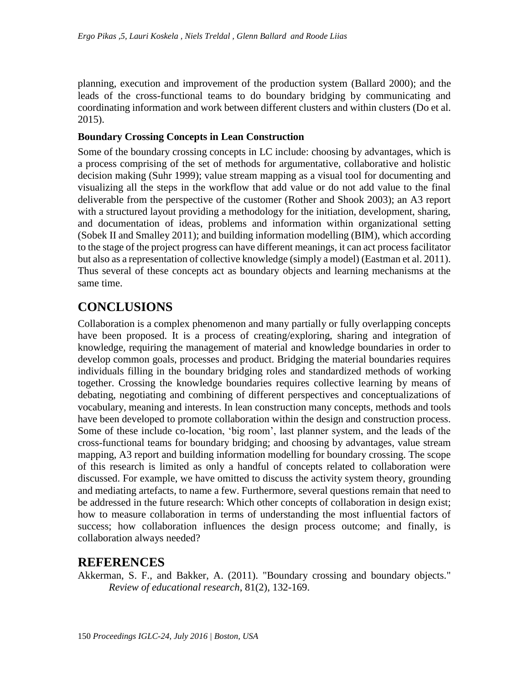planning, execution and improvement of the production system [\(Ballard 2000\)](#page-8-17); and the leads of the cross-functional teams to do boundary bridging by communicating and coordinating information and work between different clusters and within clusters [\(Do et al.](#page-8-18)  [2015\)](#page-8-18).

#### **Boundary Crossing Concepts in Lean Construction**

Some of the boundary crossing concepts in LC include: choosing by advantages, which is a process comprising of the set of methods for argumentative, collaborative and holistic decision making [\(Suhr 1999\)](#page-9-9); value stream mapping as a visual tool for documenting and visualizing all the steps in the workflow that add value or do not add value to the final deliverable from the perspective of the customer [\(Rother and Shook 2003\)](#page-9-10); an A3 report with a structured layout providing a methodology for the initiation, development, sharing, and documentation of ideas, problems and information within organizational setting [\(Sobek II and Smalley 2011\)](#page-9-11); and building information modelling (BIM), which according to the stage of the project progress can have different meanings, it can act process facilitator but also as a representation of collective knowledge (simply a model) [\(Eastman et al. 2011\)](#page-8-19). Thus several of these concepts act as boundary objects and learning mechanisms at the same time.

## **CONCLUSIONS**

Collaboration is a complex phenomenon and many partially or fully overlapping concepts have been proposed. It is a process of creating/exploring, sharing and integration of knowledge, requiring the management of material and knowledge boundaries in order to develop common goals, processes and product. Bridging the material boundaries requires individuals filling in the boundary bridging roles and standardized methods of working together. Crossing the knowledge boundaries requires collective learning by means of debating, negotiating and combining of different perspectives and conceptualizations of vocabulary, meaning and interests. In lean construction many concepts, methods and tools have been developed to promote collaboration within the design and construction process. Some of these include co-location, 'big room', last planner system, and the leads of the cross-functional teams for boundary bridging; and choosing by advantages, value stream mapping, A3 report and building information modelling for boundary crossing. The scope of this research is limited as only a handful of concepts related to collaboration were discussed. For example, we have omitted to discuss the activity system theory, grounding and mediating artefacts, to name a few. Furthermore, several questions remain that need to be addressed in the future research: Which other concepts of collaboration in design exist; how to measure collaboration in terms of understanding the most influential factors of success; how collaboration influences the design process outcome; and finally, is collaboration always needed?

## **REFERENCES**

<span id="page-7-0"></span>Akkerman, S. F., and Bakker, A. (2011). "Boundary crossing and boundary objects." *Review of educational research*, 81(2), 132-169.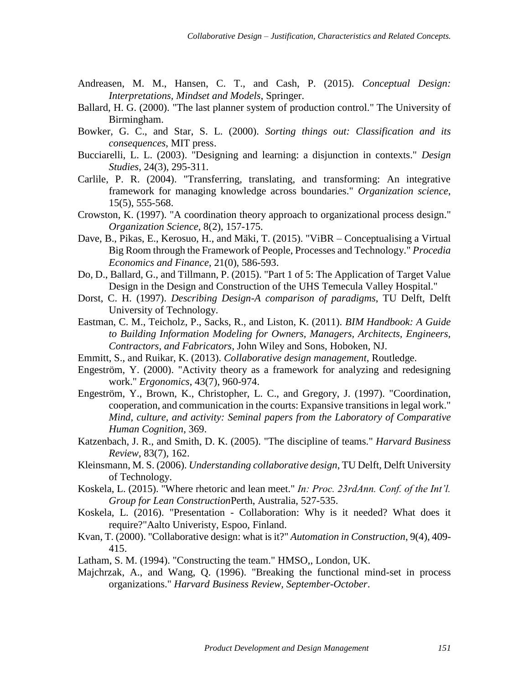- <span id="page-8-6"></span>Andreasen, M. M., Hansen, C. T., and Cash, P. (2015). *Conceptual Design: Interpretations, Mindset and Models*, Springer.
- <span id="page-8-17"></span>Ballard, H. G. (2000). "The last planner system of production control." The University of Birmingham.
- <span id="page-8-15"></span>Bowker, G. C., and Star, S. L. (2000). *Sorting things out: Classification and its consequences*, MIT press.
- <span id="page-8-1"></span>Bucciarelli, L. L. (2003). "Designing and learning: a disjunction in contexts." *Design Studies*, 24(3), 295-311.
- <span id="page-8-2"></span>Carlile, P. R. (2004). "Transferring, translating, and transforming: An integrative framework for managing knowledge across boundaries." *Organization science*, 15(5), 555-568.
- <span id="page-8-9"></span>Crowston, K. (1997). "A coordination theory approach to organizational process design." *Organization Science*, 8(2), 157-175.
- <span id="page-8-16"></span>Dave, B., Pikas, E., Kerosuo, H., and Mäki, T. (2015). "ViBR – Conceptualising a Virtual Big Room through the Framework of People, Processes and Technology." *Procedia Economics and Finance*, 21(0), 586-593.
- <span id="page-8-18"></span>Do, D., Ballard, G., and Tillmann, P. (2015). "Part 1 of 5: The Application of Target Value Design in the Design and Construction of the UHS Temecula Valley Hospital."
- <span id="page-8-4"></span>Dorst, C. H. (1997). *Describing Design-A comparison of paradigms*, TU Delft, Delft University of Technology.
- <span id="page-8-19"></span>Eastman, C. M., Teicholz, P., Sacks, R., and Liston, K. (2011). *BIM Handbook: A Guide to Building Information Modeling for Owners, Managers, Architects, Engineers, Contractors, and Fabricators*, John Wiley and Sons, Hoboken, NJ.
- <span id="page-8-8"></span>Emmitt, S., and Ruikar, K. (2013). *Collaborative design management*, Routledge.
- <span id="page-8-13"></span>Engeström, Y. (2000). "Activity theory as a framework for analyzing and redesigning work." *Ergonomics*, 43(7), 960-974.
- <span id="page-8-14"></span>Engeström, Y., Brown, K., Christopher, L. C., and Gregory, J. (1997). "Coordination, cooperation, and communication in the courts: Expansive transitions in legal work." *Mind, culture, and activity: Seminal papers from the Laboratory of Comparative Human Cognition*, 369.
- <span id="page-8-12"></span>Katzenbach, J. R., and Smith, D. K. (2005). "The discipline of teams." *Harvard Business Review*, 83(7), 162.
- <span id="page-8-5"></span>Kleinsmann, M. S. (2006). *Understanding collaborative design*, TU Delft, Delft University of Technology.
- <span id="page-8-11"></span>Koskela, L. (2015). "Where rhetoric and lean meet." *In: Proc. 23rdAnn. Conf. of the Int'l. Group for Lean Construction*Perth, Australia, 527-535.
- <span id="page-8-7"></span>Koskela, L. (2016). "Presentation - Collaboration: Why is it needed? What does it require?"Aalto Univeristy, Espoo, Finland.
- <span id="page-8-3"></span>Kvan, T. (2000). "Collaborative design: what is it?" *Automation in Construction*, 9(4), 409- 415.

<span id="page-8-0"></span>Latham, S. M. (1994). "Constructing the team." HMSO,, London, UK.

<span id="page-8-10"></span>Majchrzak, A., and Wang, Q. (1996). "Breaking the functional mind-set in process organizations." *Harvard Business Review, September-October*.